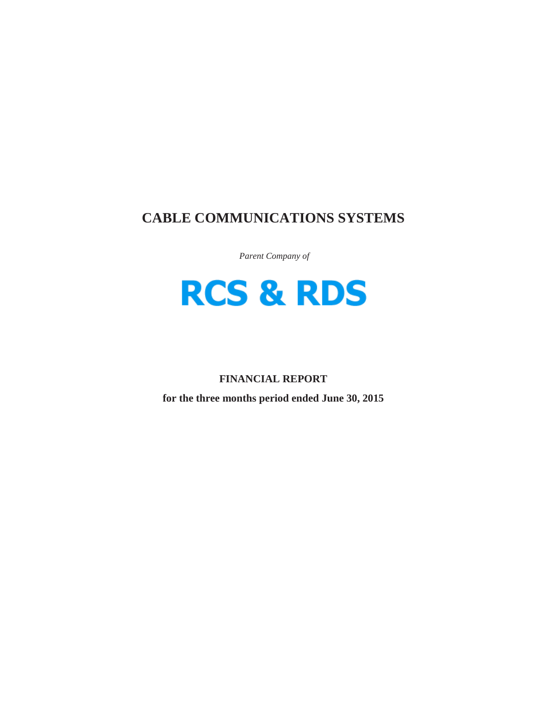# **CABLE COMMUNICATIONS SYSTEMS**

*Parent Company of*



## **FINANCIAL REPORT**

**for the three months period ended June 30, 2015**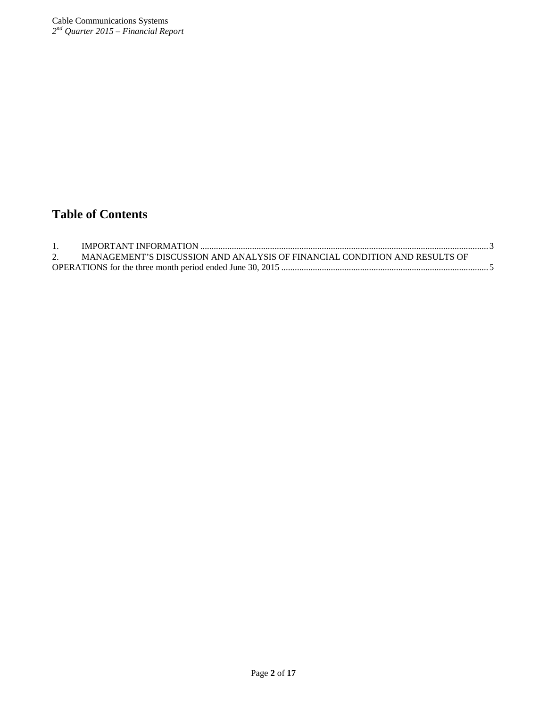# **Table of Contents**

| MANAGEMENT'S DISCUSSION AND ANALYSIS OF FINANCIAL CONDITION AND RESULTS OF |  |
|----------------------------------------------------------------------------|--|
|                                                                            |  |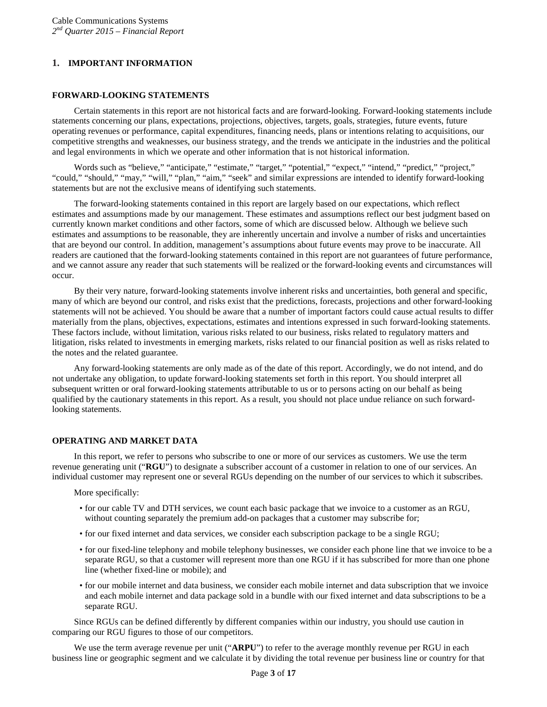## <span id="page-2-0"></span>**1. IMPORTANT INFORMATION**

## **FORWARD-LOOKING STATEMENTS**

Certain statements in this report are not historical facts and are forward-looking. Forward-looking statements include statements concerning our plans, expectations, projections, objectives, targets, goals, strategies, future events, future operating revenues or performance, capital expenditures, financing needs, plans or intentions relating to acquisitions, our competitive strengths and weaknesses, our business strategy, and the trends we anticipate in the industries and the political and legal environments in which we operate and other information that is not historical information.

Words such as "believe," "anticipate," "estimate," "target," "potential," "expect," "intend," "predict," "project," "could," "should," "may," "will," "plan," "aim," "seek" and similar expressions are intended to identify forward-looking statements but are not the exclusive means of identifying such statements.

The forward-looking statements contained in this report are largely based on our expectations, which reflect estimates and assumptions made by our management. These estimates and assumptions reflect our best judgment based on currently known market conditions and other factors, some of which are discussed below. Although we believe such estimates and assumptions to be reasonable, they are inherently uncertain and involve a number of risks and uncertainties that are beyond our control. In addition, management's assumptions about future events may prove to be inaccurate. All readers are cautioned that the forward-looking statements contained in this report are not guarantees of future performance, and we cannot assure any reader that such statements will be realized or the forward-looking events and circumstances will occur.

By their very nature, forward-looking statements involve inherent risks and uncertainties, both general and specific, many of which are beyond our control, and risks exist that the predictions, forecasts, projections and other forward-looking statements will not be achieved. You should be aware that a number of important factors could cause actual results to differ materially from the plans, objectives, expectations, estimates and intentions expressed in such forward-looking statements. These factors include, without limitation, various risks related to our business, risks related to regulatory matters and litigation, risks related to investments in emerging markets, risks related to our financial position as well as risks related to the notes and the related guarantee.

Any forward-looking statements are only made as of the date of this report. Accordingly, we do not intend, and do not undertake any obligation, to update forward-looking statements set forth in this report. You should interpret all subsequent written or oral forward-looking statements attributable to us or to persons acting on our behalf as being qualified by the cautionary statements in this report. As a result, you should not place undue reliance on such forwardlooking statements.

## **OPERATING AND MARKET DATA**

In this report, we refer to persons who subscribe to one or more of our services as customers. We use the term revenue generating unit ("**RGU**") to designate a subscriber account of a customer in relation to one of our services. An individual customer may represent one or several RGUs depending on the number of our services to which it subscribes.

More specifically:

- for our cable TV and DTH services, we count each basic package that we invoice to a customer as an RGU, without counting separately the premium add-on packages that a customer may subscribe for;
- for our fixed internet and data services, we consider each subscription package to be a single RGU;
- for our fixed-line telephony and mobile telephony businesses, we consider each phone line that we invoice to be a separate RGU, so that a customer will represent more than one RGU if it has subscribed for more than one phone line (whether fixed-line or mobile); and
- for our mobile internet and data business, we consider each mobile internet and data subscription that we invoice and each mobile internet and data package sold in a bundle with our fixed internet and data subscriptions to be a separate RGU.

Since RGUs can be defined differently by different companies within our industry, you should use caution in comparing our RGU figures to those of our competitors.

We use the term average revenue per unit ("**ARPU**") to refer to the average monthly revenue per RGU in each business line or geographic segment and we calculate it by dividing the total revenue per business line or country for that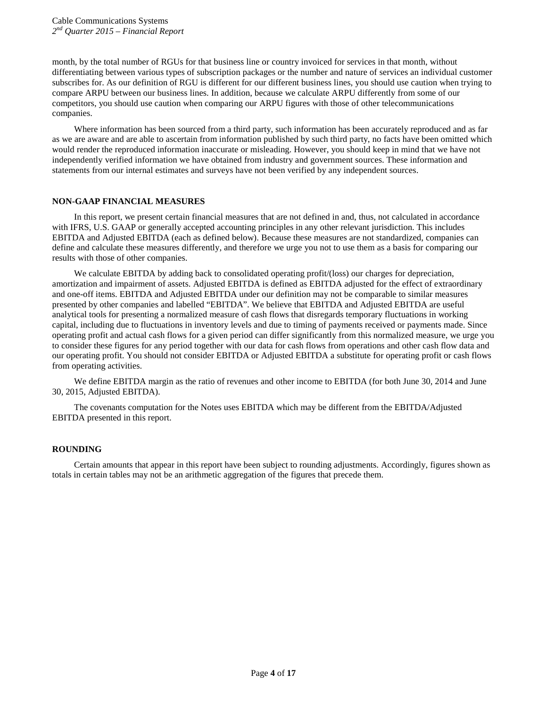month, by the total number of RGUs for that business line or country invoiced for services in that month, without differentiating between various types of subscription packages or the number and nature of services an individual customer subscribes for. As our definition of RGU is different for our different business lines, you should use caution when trying to compare ARPU between our business lines. In addition, because we calculate ARPU differently from some of our competitors, you should use caution when comparing our ARPU figures with those of other telecommunications companies.

Where information has been sourced from a third party, such information has been accurately reproduced and as far as we are aware and are able to ascertain from information published by such third party, no facts have been omitted which would render the reproduced information inaccurate or misleading. However, you should keep in mind that we have not independently verified information we have obtained from industry and government sources. These information and statements from our internal estimates and surveys have not been verified by any independent sources.

## **NON-GAAP FINANCIAL MEASURES**

In this report, we present certain financial measures that are not defined in and, thus, not calculated in accordance with IFRS, U.S. GAAP or generally accepted accounting principles in any other relevant jurisdiction. This includes EBITDA and Adjusted EBITDA (each as defined below). Because these measures are not standardized, companies can define and calculate these measures differently, and therefore we urge you not to use them as a basis for comparing our results with those of other companies.

We calculate EBITDA by adding back to consolidated operating profit/(loss) our charges for depreciation, amortization and impairment of assets. Adjusted EBITDA is defined as EBITDA adjusted for the effect of extraordinary and one-off items. EBITDA and Adjusted EBITDA under our definition may not be comparable to similar measures presented by other companies and labelled "EBITDA". We believe that EBITDA and Adjusted EBITDA are useful analytical tools for presenting a normalized measure of cash flows that disregards temporary fluctuations in working capital, including due to fluctuations in inventory levels and due to timing of payments received or payments made. Since operating profit and actual cash flows for a given period can differ significantly from this normalized measure, we urge you to consider these figures for any period together with our data for cash flows from operations and other cash flow data and our operating profit. You should not consider EBITDA or Adjusted EBITDA a substitute for operating profit or cash flows from operating activities.

We define EBITDA margin as the ratio of revenues and other income to EBITDA (for both June 30, 2014 and June 30, 2015, Adjusted EBITDA).

The covenants computation for the Notes uses EBITDA which may be different from the EBITDA/Adjusted EBITDA presented in this report.

## **ROUNDING**

Certain amounts that appear in this report have been subject to rounding adjustments. Accordingly, figures shown as totals in certain tables may not be an arithmetic aggregation of the figures that precede them.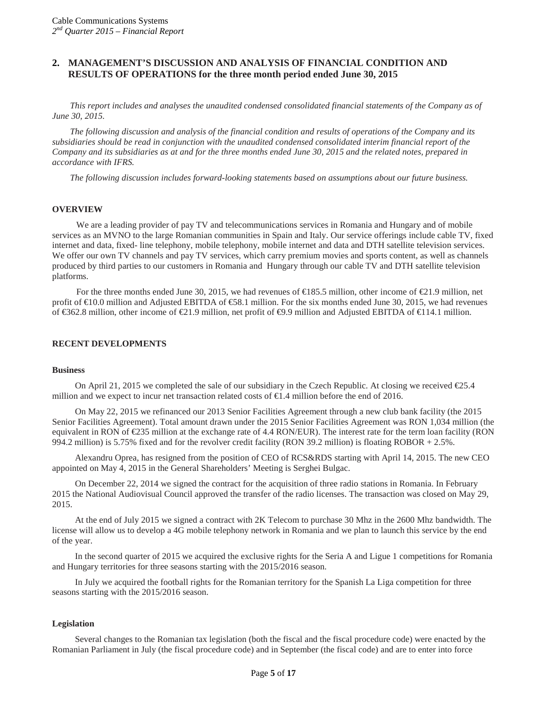## <span id="page-4-0"></span>**2. MANAGEMENT'S DISCUSSION AND ANALYSIS OF FINANCIAL CONDITION AND RESULTS OF OPERATIONS for the three month period ended June 30, 2015**

*This report includes and analyses the unaudited condensed consolidated financial statements of the Company as of June 30, 2015.*

*The following discussion and analysis of the financial condition and results of operations of the Company and its subsidiaries should be read in conjunction with the unaudited condensed consolidated interim financial report of the Company and its subsidiaries as at and for the three months ended June 30, 2015 and the related notes, prepared in accordance with IFRS.*

*The following discussion includes forward-looking statements based on assumptions about our future business.*

#### **OVERVIEW**

We are a leading provider of pay TV and telecommunications services in Romania and Hungary and of mobile services as an MVNO to the large Romanian communities in Spain and Italy. Our service offerings include cable TV, fixed internet and data, fixed- line telephony, mobile telephony, mobile internet and data and DTH satellite television services. We offer our own TV channels and pay TV services, which carry premium movies and sports content, as well as channels produced by third parties to our customers in Romania and Hungary through our cable TV and DTH satellite television platforms.

For the three months ended June 30, 2015, we had revenues of  $\in$ 185.5 million, other income of  $\in$ 1.9 million, net profit of  $\text{E}0.0$  million and Adjusted EBITDA of  $\text{E}8.1$  million. For the six months ended June 30, 2015, we had revenues of €362.8 million, other income of €21.9 million, net profit of €9.9 million and Adjusted EBITDA of €114.1 million.

#### **RECENT DEVELOPMENTS**

#### **Business**

On April 21, 2015 we completed the sale of our subsidiary in the Czech Republic. At closing we received  $\epsilon$ 25.4 million and we expect to incur net transaction related costs of €1.4 million before the end of 2016.

On May 22, 2015 we refinanced our 2013 Senior Facilities Agreement through a new club bank facility (the 2015 Senior Facilities Agreement). Total amount drawn under the 2015 Senior Facilities Agreement was RON 1,034 million (the equivalent in RON of  $\epsilon$ 235 million at the exchange rate of 4.4 RON/EUR). The interest rate for the term loan facility (RON 994.2 million) is 5.75% fixed and for the revolver credit facility (RON 39.2 million) is floating ROBOR + 2.5%.

Alexandru Oprea, has resigned from the position of CEO of RCS&RDS starting with April 14, 2015. The new CEO appointed on May 4, 2015 in the General Shareholders' Meeting is Serghei Bulgac.

On December 22, 2014 we signed the contract for the acquisition of three radio stations in Romania. In February 2015 the National Audiovisual Council approved the transfer of the radio licenses. The transaction was closed on May 29, 2015.

At the end of July 2015 we signed a contract with 2K Telecom to purchase 30 Mhz in the 2600 Mhz bandwidth. The license will allow us to develop a 4G mobile telephony network in Romania and we plan to launch this service by the end of the year.

In the second quarter of 2015 we acquired the exclusive rights for the Seria A and Ligue 1 competitions for Romania and Hungary territories for three seasons starting with the 2015/2016 season.

In July we acquired the football rights for the Romanian territory for the Spanish La Liga competition for three seasons starting with the 2015/2016 season.

#### **Legislation**

Several changes to the Romanian tax legislation (both the fiscal and the fiscal procedure code) were enacted by the Romanian Parliament in July (the fiscal procedure code) and in September (the fiscal code) and are to enter into force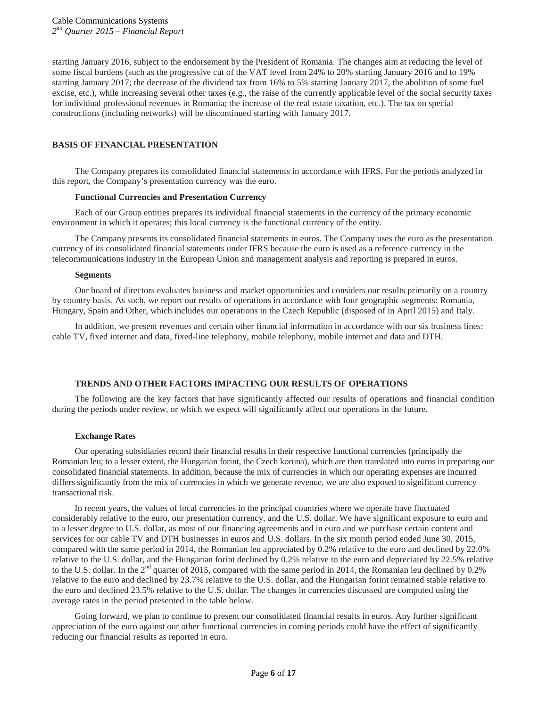starting January 2016, subject to the endorsement by the President of Romania. The changes aim at reducing the level of some fiscal burdens (such as the progressive cut of the VAT level from 24% to 20% starting January 2016 and to 19% starting January 2017; the decrease of the dividend tax from 16% to 5% starting January 2017, the abolition of some fuel excise, etc.), while increasing several other taxes (e.g., the raise of the currently applicable level of the social security taxes for individual professional revenues in Romania; the increase of the real estate taxation, etc.). The tax on special constructions (including networks) will be discontinued starting with January 2017.

## **BASIS OF FINANCIAL PRESENTATION**

The Company prepares its consolidated financial statements in accordance with IFRS. For the periods analyzed in this report, the Company's presentation currency was the euro.

#### **Functional Currencies and Presentation Currency**

Each of our Group entities prepares its individual financial statements in the currency of the primary economic environment in which it operates; this local currency is the functional currency of the entity.

The Company presents its consolidated financial statements in euros. The Company uses the euro as the presentation currency of its consolidated financial statements under IFRS because the euro is used as a reference currency in the telecommunications industry in the European Union and management analysis and reporting is prepared in euros.

#### **Segments**

Our board of directors evaluates business and market opportunities and considers our results primarily on a country by country basis. As such, we report our results of operations in accordance with four geographic segments: Romania, Hungary, Spain and Other, which includes our operations in the Czech Republic (disposed of in April 2015) and Italy.

In addition, we present revenues and certain other financial information in accordance with our six business lines: cable TV, fixed internet and data, fixed-line telephony, mobile telephony, mobile internet and data and DTH.

## **TRENDS AND OTHER FACTORS IMPACTING OUR RESULTS OF OPERATIONS**

The following are the key factors that have significantly affected our results of operations and financial condition during the periods under review, or which we expect will significantly affect our operations in the future.

## **Exchange Rates**

Our operating subsidiaries record their financial results in their respective functional currencies (principally the Romanian leu; to a lesser extent, the Hungarian forint, the Czech koruna), which are then translated into euros in preparing our consolidated financial statements. In addition, because the mix of currencies in which our operating expenses are incurred differs significantly from the mix of currencies in which we generate revenue, we are also exposed to significant currency transactional risk.

In recent years, the values of local currencies in the principal countries where we operate have fluctuated considerably relative to the euro, our presentation currency, and the U.S. dollar. We have significant exposure to euro and to a lesser degree to U.S. dollar, as most of our financing agreements and in euro and we purchase certain content and services for our cable TV and DTH businesses in euros and U.S. dollars. In the six month period ended June 30, 2015, compared with the same period in 2014, the Romanian leu appreciated by 0.2% relative to the euro and declined by 22.0% relative to the U.S. dollar, and the Hungarian forint declined by 0.2% relative to the euro and depreciated by 22.5% relative to the U.S. dollar. In the 2<sup>nd</sup> quarter of 2015, compared with the same period in 2014, the Romanian leu declined by 0.2% relative to the euro and declined by 23.7% relative to the U.S. dollar, and the Hungarian forint remained stable relative to the euro and declined 23.5% relative to the U.S. dollar. The changes in currencies discussed are computed using the average rates in the period presented in the table below.

Going forward, we plan to continue to present our consolidated financial results in euros. Any further significant appreciation of the euro against our other functional currencies in coming periods could have the effect of significantly reducing our financial results as reported in euro.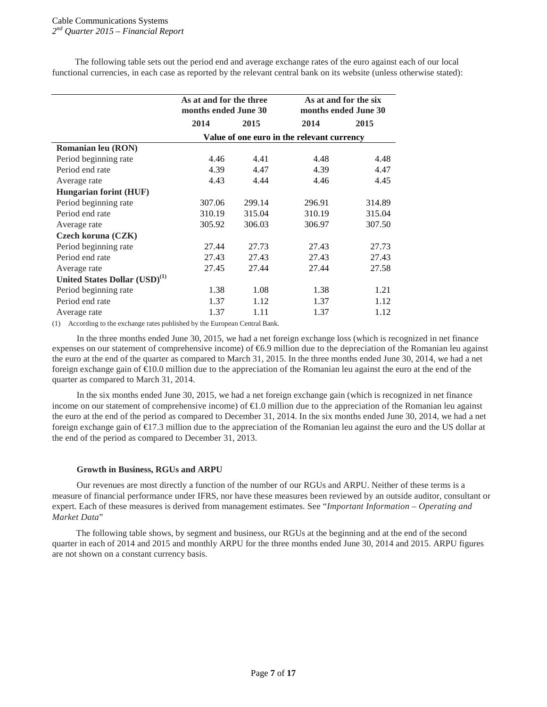The following table sets out the period end and average exchange rates of the euro against each of our local functional currencies, in each case as reported by the relevant central bank on its website (unless otherwise stated):

|                                           | As at and for the three<br>months ended June 30 |        |        | As at and for the six<br>months ended June 30 |  |  |
|-------------------------------------------|-------------------------------------------------|--------|--------|-----------------------------------------------|--|--|
|                                           | 2015<br>2014                                    |        | 2014   | 2015                                          |  |  |
|                                           | Value of one euro in the relevant currency      |        |        |                                               |  |  |
| <b>Romanian leu (RON)</b>                 |                                                 |        |        |                                               |  |  |
| Period beginning rate                     | 4.46                                            | 4.41   | 4.48   | 4.48                                          |  |  |
| Period end rate                           | 4.39                                            | 4.47   | 4.39   | 4.47                                          |  |  |
| Average rate                              | 4.43                                            | 4.44   | 4.46   | 4.45                                          |  |  |
| <b>Hungarian forint (HUF)</b>             |                                                 |        |        |                                               |  |  |
| Period beginning rate                     | 307.06                                          | 299.14 | 296.91 | 314.89                                        |  |  |
| Period end rate                           | 310.19                                          | 315.04 | 310.19 | 315.04                                        |  |  |
| Average rate                              | 305.92                                          | 306.03 | 306.97 | 307.50                                        |  |  |
| Czech koruna (CZK)                        |                                                 |        |        |                                               |  |  |
| Period beginning rate                     | 27.44                                           | 27.73  | 27.43  | 27.73                                         |  |  |
| Period end rate                           | 27.43                                           | 27.43  | 27.43  | 27.43                                         |  |  |
| Average rate                              | 27.45                                           | 27.44  | 27.44  | 27.58                                         |  |  |
| United States Dollar (USD) <sup>(1)</sup> |                                                 |        |        |                                               |  |  |
| Period beginning rate                     | 1.38                                            | 1.08   | 1.38   | 1.21                                          |  |  |
| Period end rate                           | 1.37                                            | 1.12   | 1.37   | 1.12                                          |  |  |
| Average rate                              | 1.37                                            | 1.11   | 1.37   | 1.12                                          |  |  |

(1) According to the exchange rates published by the European Central Bank.

In the three months ended June 30, 2015, we had a net foreign exchange loss (which is recognized in net finance expenses on our statement of comprehensive income) of €6.9 million due to the depreciation of the Romanian leu against the euro at the end of the quarter as compared to March 31, 2015. In the three months ended June 30, 2014, we had a net foreign exchange gain of €10.0 million due to the appreciation of the Romanian leu against the euro at the end of the quarter as compared to March 31, 2014.

In the six months ended June 30, 2015, we had a net foreign exchange gain (which is recognized in net finance income on our statement of comprehensive income) of  $\epsilon$ 1.0 million due to the appreciation of the Romanian leu against the euro at the end of the period as compared to December 31, 2014. In the six months ended June 30, 2014, we had a net foreign exchange gain of €17.3 million due to the appreciation of the Romanian leu against the euro and the US dollar at the end of the period as compared to December 31, 2013.

#### **Growth in Business, RGUs and ARPU**

Our revenues are most directly a function of the number of our RGUs and ARPU. Neither of these terms is a measure of financial performance under IFRS, nor have these measures been reviewed by an outside auditor, consultant or expert. Each of these measures is derived from management estimates. See "*Important Information – Operating and Market Data*"

The following table shows, by segment and business, our RGUs at the beginning and at the end of the second quarter in each of 2014 and 2015 and monthly ARPU for the three months ended June 30, 2014 and 2015. ARPU figures are not shown on a constant currency basis.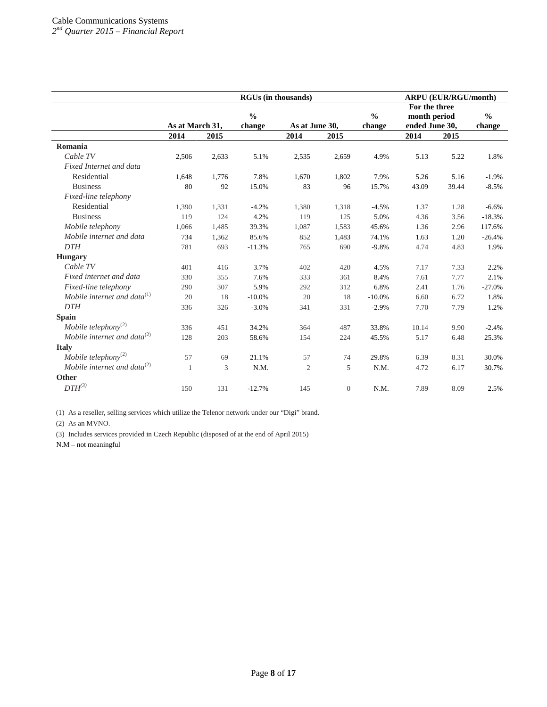|                                   | <b>RGUs (in thousands)</b> |       |                         |                |              |                         | <b>ARPU (EUR/RGU/month)</b>                     |       |                         |
|-----------------------------------|----------------------------|-------|-------------------------|----------------|--------------|-------------------------|-------------------------------------------------|-------|-------------------------|
|                                   | As at March 31,            |       | $\frac{0}{0}$<br>change | As at June 30, |              | $\frac{0}{0}$<br>change | For the three<br>month period<br>ended June 30, |       | $\frac{0}{0}$<br>change |
|                                   | 2014                       | 2015  |                         | 2014           | 2015         |                         | 2014                                            | 2015  |                         |
| Romania                           |                            |       |                         |                |              |                         |                                                 |       |                         |
| Cable TV                          | 2,506                      | 2,633 | 5.1%                    | 2,535          | 2,659        | 4.9%                    | 5.13                                            | 5.22  | 1.8%                    |
| Fixed Internet and data           |                            |       |                         |                |              |                         |                                                 |       |                         |
| Residential                       | 1,648                      | 1,776 | 7.8%                    | 1,670          | 1,802        | 7.9%                    | 5.26                                            | 5.16  | $-1.9%$                 |
| <b>Business</b>                   | 80                         | 92    | 15.0%                   | 83             | 96           | 15.7%                   | 43.09                                           | 39.44 | $-8.5%$                 |
| Fixed-line telephony              |                            |       |                         |                |              |                         |                                                 |       |                         |
| Residential                       | 1,390                      | 1,331 | $-4.2%$                 | 1,380          | 1,318        | $-4.5%$                 | 1.37                                            | 1.28  | $-6.6%$                 |
| <b>Business</b>                   | 119                        | 124   | 4.2%                    | 119            | 125          | 5.0%                    | 4.36                                            | 3.56  | $-18.3%$                |
| Mobile telephony                  | 1,066                      | 1,485 | 39.3%                   | 1,087          | 1,583        | 45.6%                   | 1.36                                            | 2.96  | 117.6%                  |
| Mobile internet and data          | 734                        | 1,362 | 85.6%                   | 852            | 1,483        | 74.1%                   | 1.63                                            | 1.20  | $-26.4%$                |
| <b>DTH</b>                        | 781                        | 693   | $-11.3%$                | 765            | 690          | $-9.8%$                 | 4.74                                            | 4.83  | 1.9%                    |
| <b>Hungary</b>                    |                            |       |                         |                |              |                         |                                                 |       |                         |
| Cable TV                          | 401                        | 416   | 3.7%                    | 402            | 420          | 4.5%                    | 7.17                                            | 7.33  | 2.2%                    |
| Fixed internet and data           | 330                        | 355   | 7.6%                    | 333            | 361          | 8.4%                    | 7.61                                            | 7.77  | 2.1%                    |
| Fixed-line telephony              | 290                        | 307   | 5.9%                    | 292            | 312          | 6.8%                    | 2.41                                            | 1.76  | $-27.0%$                |
| Mobile internet and data $^{(1)}$ | 20                         | 18    | $-10.0%$                | 20             | 18           | $-10.0%$                | 6.60                                            | 6.72  | 1.8%                    |
| <b>DTH</b>                        | 336                        | 326   | $-3.0%$                 | 341            | 331          | $-2.9%$                 | 7.70                                            | 7.79  | 1.2%                    |
| <b>Spain</b>                      |                            |       |                         |                |              |                         |                                                 |       |                         |
| Mobile telephony <sup>(2)</sup>   | 336                        | 451   | 34.2%                   | 364            | 487          | 33.8%                   | 10.14                                           | 9.90  | $-2.4%$                 |
| Mobile internet and data $^{(2)}$ | 128                        | 203   | 58.6%                   | 154            | 224          | 45.5%                   | 5.17                                            | 6.48  | 25.3%                   |
| <b>Italy</b>                      |                            |       |                         |                |              |                         |                                                 |       |                         |
| Mobile telephony <sup>(2)</sup>   | 57                         | 69    | 21.1%                   | 57             | 74           | 29.8%                   | 6.39                                            | 8.31  | 30.0%                   |
| Mobile internet and data $^{(2)}$ | 1                          | 3     | N.M.                    | $\overline{c}$ | 5            | N.M.                    | 4.72                                            | 6.17  | 30.7%                   |
| Other                             |                            |       |                         |                |              |                         |                                                 |       |                         |
| $DTH^{(3)}$                       | 150                        | 131   | $-12.7%$                | 145            | $\mathbf{0}$ | N.M.                    | 7.89                                            | 8.09  | 2.5%                    |

(1) As a reseller, selling services which utilize the Telenor network under our "Digi" brand.

(2) As an MVNO.

(3) Includes services provided in Czech Republic (disposed of at the end of April 2015)

N.M – not meaningful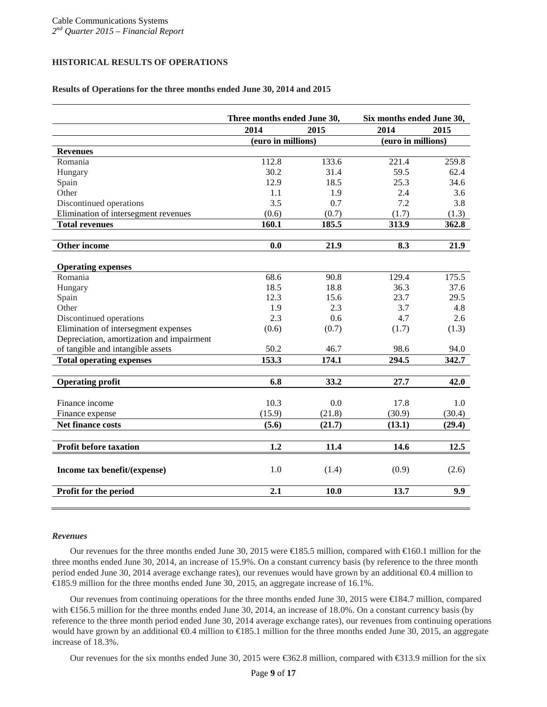## **HISTORICAL RESULTS OF OPERATIONS**

## **Results of Operations for the three months ended June 30, 2014 and 2015**

|                                           | Three months ended June 30, |                    | Six months ended June 30, |                    |  |
|-------------------------------------------|-----------------------------|--------------------|---------------------------|--------------------|--|
|                                           | 2014                        | 2015               | 2014                      | 2015               |  |
|                                           |                             | (euro in millions) |                           | (euro in millions) |  |
| <b>Revenues</b>                           |                             |                    |                           |                    |  |
| Romania                                   | 112.8                       | 133.6              | 221.4                     | 259.8              |  |
| Hungary                                   | 30.2                        | 31.4               | 59.5                      | 62.4               |  |
| Spain                                     | 12.9                        | 18.5               | 25.3                      | 34.6               |  |
| Other                                     | 1.1                         | 1.9                | 2.4                       | 3.6                |  |
| Discontinued operations                   | 3.5                         | 0.7                | 7.2                       | 3.8                |  |
| Elimination of intersegment revenues      | (0.6)                       | (0.7)              | (1.7)                     | (1.3)              |  |
| <b>Total revenues</b>                     | 160.1                       | 185.5              | 313.9                     | 362.8              |  |
|                                           |                             |                    |                           |                    |  |
| Other income                              | 0.0                         | 21.9               | 8.3                       | 21.9               |  |
|                                           |                             |                    |                           |                    |  |
| <b>Operating expenses</b>                 |                             |                    |                           |                    |  |
| Romania                                   | 68.6                        | 90.8               | 129.4                     | 175.5              |  |
| Hungary                                   | 18.5                        | 18.8               | 36.3                      | 37.6               |  |
| Spain                                     | 12.3                        | 15.6               | 23.7                      | 29.5               |  |
| Other                                     | 1.9                         | 2.3                | 3.7                       | 4.8                |  |
| Discontinued operations                   | 2.3                         | 0.6                | 4.7                       | 2.6                |  |
| Elimination of intersegment expenses      | (0.6)                       | (0.7)              | (1.7)                     | (1.3)              |  |
| Depreciation, amortization and impairment |                             |                    |                           |                    |  |
| of tangible and intangible assets         | 50.2                        | 46.7               | 98.6                      | 94.0               |  |
| <b>Total operating expenses</b>           | 153.3                       | 174.1              | 294.5                     | 342.7              |  |
| <b>Operating profit</b>                   | 6.8                         | 33.2               | 27.7                      | 42.0               |  |
|                                           |                             |                    |                           |                    |  |
| Finance income                            | 10.3                        | 0.0                | 17.8                      | 1.0                |  |
| Finance expense                           | (15.9)                      | (21.8)             | (30.9)                    | (30.4)             |  |
| Net finance costs                         | (5.6)                       | (21.7)             | (13.1)                    | (29.4)             |  |
|                                           |                             |                    |                           |                    |  |
| <b>Profit before taxation</b>             | 1.2                         | 11.4               | 14.6                      | 12.5               |  |
| Income tax benefit/(expense)              | 1.0                         | (1.4)              | (0.9)                     | (2.6)              |  |
| Profit for the period                     | 2.1                         | 10.0               | 13.7                      | 9.9                |  |

#### *Revenues*

Our revenues for the three months ended June 30, 2015 were €185.5 million, compared with €160.1 million for the three months ended June 30, 2014, an increase of 15.9%. On a constant currency basis (by reference to the three month period ended June 30, 2014 average exchange rates), our revenues would have grown by an additional €0.4 million to €185.9 million for the three months ended June 30, 2015, an aggregate increase of 16.1%.

Our revenues from continuing operations for the three months ended June 30, 2015 were €184.7 million, compared with €156.5 million for the three months ended June 30, 2014, an increase of 18.0%. On a constant currency basis (by reference to the three month period ended June 30, 2014 average exchange rates), our revenues from continuing operations would have grown by an additional  $€0.4$  million to  $€185.1$  million for the three months ended June 30, 2015, an aggregate increase of 18.3%.

Our revenues for the six months ended June 30, 2015 were €362.8 million, compared with €313.9 million for the six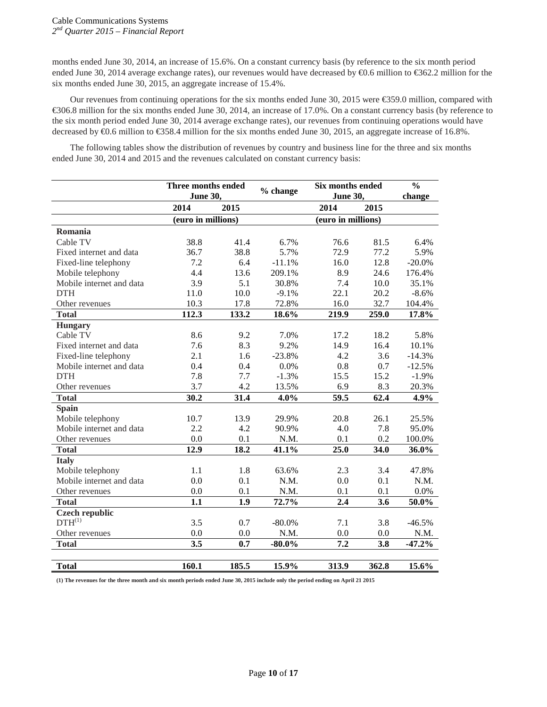months ended June 30, 2014, an increase of 15.6%. On a constant currency basis (by reference to the six month period ended June 30, 2014 average exchange rates), our revenues would have decreased by  $\Theta$ .6 million to  $\Theta$ 62.2 million for the six months ended June 30, 2015, an aggregate increase of 15.4%.

Our revenues from continuing operations for the six months ended June 30, 2015 were €359.0 million, compared with €306.8 million for the six months ended June 30, 2014, an increase of 17.0%. On a constant currency basis (by reference to the six month period ended June 30, 2014 average exchange rates), our revenues from continuing operations would have decreased by €0.6 million to €358.4 million for the six months ended June 30, 2015, an aggregate increase of 16.8%.

The following tables show the distribution of revenues by country and business line for the three and six months ended June 30, 2014 and 2015 and the revenues calculated on constant currency basis:

|                          | Three months ended<br><b>June 30,</b> |                   | % change  | <b>Six months ended</b><br><b>June 30,</b> |       | $\frac{0}{0}$<br>change |
|--------------------------|---------------------------------------|-------------------|-----------|--------------------------------------------|-------|-------------------------|
|                          | 2014                                  | 2015              |           | 2014                                       | 2015  |                         |
|                          | (euro in millions)                    |                   |           | (euro in millions)                         |       |                         |
| Romania                  |                                       |                   |           |                                            |       |                         |
| Cable TV                 | 38.8                                  | 41.4              | 6.7%      | 76.6                                       | 81.5  | 6.4%                    |
| Fixed internet and data  | 36.7                                  | 38.8              | 5.7%      | 72.9                                       | 77.2  | 5.9%                    |
| Fixed-line telephony     | 7.2                                   | 6.4               | $-11.1%$  | 16.0                                       | 12.8  | $-20.0\%$               |
| Mobile telephony         | 4.4                                   | 13.6              | 209.1%    | 8.9                                        | 24.6  | 176.4%                  |
| Mobile internet and data | 3.9                                   | 5.1               | 30.8%     | 7.4                                        | 10.0  | 35.1%                   |
| <b>DTH</b>               | 11.0                                  | 10.0              | $-9.1%$   | 22.1                                       | 20.2  | $-8.6%$                 |
| Other revenues           | 10.3                                  | 17.8              | 72.8%     | 16.0                                       | 32.7  | 104.4%                  |
| <b>Total</b>             | 112.3                                 | 133.2             | $18.6\%$  | 219.9                                      | 259.0 | 17.8%                   |
| <b>Hungary</b>           |                                       |                   |           |                                            |       |                         |
| Cable TV                 | 8.6                                   | 9.2               | 7.0%      | 17.2                                       | 18.2  | 5.8%                    |
| Fixed internet and data  | 7.6                                   | 8.3               | 9.2%      | 14.9                                       | 16.4  | 10.1%                   |
| Fixed-line telephony     | 2.1                                   | 1.6               | $-23.8%$  | 4.2                                        | 3.6   | $-14.3%$                |
| Mobile internet and data | 0.4                                   | 0.4               | 0.0%      | 0.8                                        | 0.7   | $-12.5%$                |
| <b>DTH</b>               | 7.8                                   | 7.7               | $-1.3%$   | 15.5                                       | 15.2  | $-1.9%$                 |
| Other revenues           | 3.7                                   | 4.2               | 13.5%     | 6.9                                        | 8.3   | 20.3%                   |
| <b>Total</b>             | 30.2                                  | $\overline{31.4}$ | 4.0%      | $\overline{59.5}$                          | 62.4  | 4.9%                    |
| <b>Spain</b>             |                                       |                   |           |                                            |       |                         |
| Mobile telephony         | 10.7                                  | 13.9              | 29.9%     | 20.8                                       | 26.1  | 25.5%                   |
| Mobile internet and data | 2.2                                   | 4.2               | 90.9%     | 4.0                                        | 7.8   | 95.0%                   |
| Other revenues           | 0.0                                   | 0.1               | N.M.      | 0.1                                        | 0.2   | 100.0%                  |
| <b>Total</b>             | 12.9                                  | 18.2              | 41.1%     | 25.0                                       | 34.0  | 36.0%                   |
| <b>Italy</b>             |                                       |                   |           |                                            |       |                         |
| Mobile telephony         | 1.1                                   | 1.8               | 63.6%     | 2.3                                        | 3.4   | 47.8%                   |
| Mobile internet and data | 0.0                                   | 0.1               | N.M.      | 0.0                                        | 0.1   | N.M.                    |
| Other revenues           | 0.0                                   | 0.1               | N.M.      | 0.1                                        | 0.1   | $0.0\%$                 |
| <b>Total</b>             | 1.1                                   | 1.9               | 72.7%     | 2.4                                        | 3.6   | 50.0%                   |
| <b>Czech republic</b>    |                                       |                   |           |                                            |       |                         |
| $DTH^{(1)}$              | 3.5                                   | 0.7               | $-80.0\%$ | 7.1                                        | 3.8   | $-46.5%$                |
| Other revenues           | 0.0                                   | 0.0               | N.M.      | 0.0                                        | 0.0   | N.M.                    |
| <b>Total</b>             | 3.5                                   | 0.7               | $-80.0\%$ | 7.2                                        | 3.8   | $-47.2%$                |
| <b>Total</b>             | 160.1                                 | 185.5             | 15.9%     | 313.9                                      | 362.8 | 15.6%                   |

**(1) The revenues for the three month and six month periods ended June 30, 2015 include only the period ending on April 21 2015**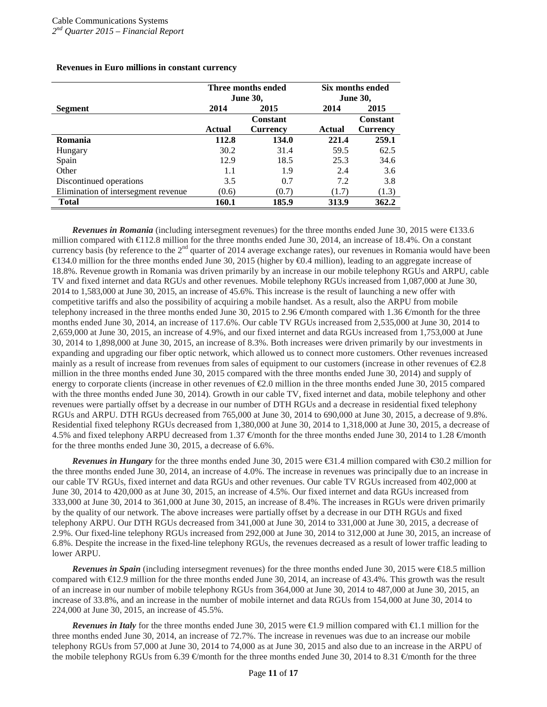|                                      |               | Three months ended | Six months ended |                 |  |
|--------------------------------------|---------------|--------------------|------------------|-----------------|--|
|                                      |               | <b>June 30,</b>    |                  | <b>June 30,</b> |  |
| <b>Segment</b>                       | 2014          | 2014<br>2015       |                  | 2015            |  |
|                                      |               | Constant           |                  | Constant        |  |
|                                      | <b>Actual</b> | Currency           | Actual           | <b>Currency</b> |  |
| Romania                              | 112.8         | 134.0              | 221.4            | 259.1           |  |
| Hungary                              | 30.2          | 31.4               | 59.5             | 62.5            |  |
| Spain                                | 12.9          | 18.5               | 25.3             | 34.6            |  |
| Other                                | 1.1           | 1.9                | 2.4              | 3.6             |  |
| Discontinued operations              | 3.5           | 0.7                | 7.2              | 3.8             |  |
| Elimination of intersegment revenue. | (0.6)         | (0.7)              | (1.7)            | (1.3)           |  |
| <b>Total</b>                         | 160.1         | 185.9              | 313.9            | 362.2           |  |

## **Revenues in Euro millions in constant currency**

*Revenues in Romania* (including intersegment revenues) for the three months ended June 30, 2015 were €133.6 million compared with €112.8 million for the three months ended June 30, 2014, an increase of 18.4%. On a constant currency basis (by reference to the 2<sup>nd</sup> quarter of 2014 average exchange rates), our revenues in Romania would have been €134.0 million for the three months ended June 30, 2015 (higher by €0.4 million), leading to an aggregate increase of 18.8%. Revenue growth in Romania was driven primarily by an increase in our mobile telephony RGUs and ARPU, cable TV and fixed internet and data RGUs and other revenues. Mobile telephony RGUs increased from 1,087,000 at June 30, 2014 to 1,583,000 at June 30, 2015, an increase of 45.6%. This increase is the result of launching a new offer with competitive tariffs and also the possibility of acquiring a mobile handset. As a result, also the ARPU from mobile telephony increased in the three months ended June 30, 2015 to 2.96  $\in$ month compared with 1.36  $\in$ month for the three months ended June 30, 2014, an increase of 117.6%. Our cable TV RGUs increased from 2,535,000 at June 30, 2014 to 2,659,000 at June 30, 2015, an increase of 4.9%, and our fixed internet and data RGUs increased from 1,753,000 at June 30, 2014 to 1,898,000 at June 30, 2015, an increase of 8.3%. Both increases were driven primarily by our investments in expanding and upgrading our fiber optic network, which allowed us to connect more customers. Other revenues increased mainly as a result of increase from revenues from sales of equipment to our customers (increase in other revenues of €2.8 million in the three months ended June 30, 2015 compared with the three months ended June 30, 2014) and supply of energy to corporate clients (increase in other revenues of €2.0 million in the three months ended June 30, 2015 compared with the three months ended June 30, 2014). Growth in our cable TV, fixed internet and data, mobile telephony and other revenues were partially offset by a decrease in our number of DTH RGUs and a decrease in residential fixed telephony RGUs and ARPU. DTH RGUs decreased from 765,000 at June 30, 2014 to 690,000 at June 30, 2015, a decrease of 9.8%. Residential fixed telephony RGUs decreased from 1,380,000 at June 30, 2014 to 1,318,000 at June 30, 2015, a decrease of 4.5% and fixed telephony ARPU decreased from 1.37  $\in$  month for the three months ended June 30, 2014 to 1.28  $\in$  month for the three months ended June 30, 2015, a decrease of 6.6%.

*Revenues in <i>Hungary* for the three months ended June 30, 2015 were €31.4 million compared with €30.2 million for the three months ended June 30, 2014, an increase of 4.0%. The increase in revenues was principally due to an increase in our cable TV RGUs, fixed internet and data RGUs and other revenues. Our cable TV RGUs increased from 402,000 at June 30, 2014 to 420,000 as at June 30, 2015, an increase of 4.5%. Our fixed internet and data RGUs increased from 333,000 at June 30, 2014 to 361,000 at June 30, 2015, an increase of 8.4%. The increases in RGUs were driven primarily by the quality of our network. The above increases were partially offset by a decrease in our DTH RGUs and fixed telephony ARPU. Our DTH RGUs decreased from 341,000 at June 30, 2014 to 331,000 at June 30, 2015, a decrease of 2.9%. Our fixed-line telephony RGUs increased from 292,000 at June 30, 2014 to 312,000 at June 30, 2015, an increase of 6.8%. Despite the increase in the fixed-line telephony RGUs, the revenues decreased as a result of lower traffic leading to lower ARPU.

*Revenues in Spain* (including intersegment revenues) for the three months ended June 30, 2015 were  $\in$ 18.5 million compared with €12.9 million for the three months ended June 30, 2014, an increase of 43.4%. This growth was the result of an increase in our number of mobile telephony RGUs from 364,000 at June 30, 2014 to 487,000 at June 30, 2015, an increase of 33.8%, and an increase in the number of mobile internet and data RGUs from 154,000 at June 30, 2014 to 224,000 at June 30, 2015, an increase of 45.5%.

*Revenues in Italy* for the three months ended June 30, 2015 were €1.9 million compared with €1.1 million for the three months ended June 30, 2014, an increase of 72.7%. The increase in revenues was due to an increase our mobile telephony RGUs from 57,000 at June 30, 2014 to 74,000 as at June 30, 2015 and also due to an increase in the ARPU of the mobile telephony RGUs from 6.39  $\in$ month for the three months ended June 30, 2014 to 8.31  $\in$ month for the three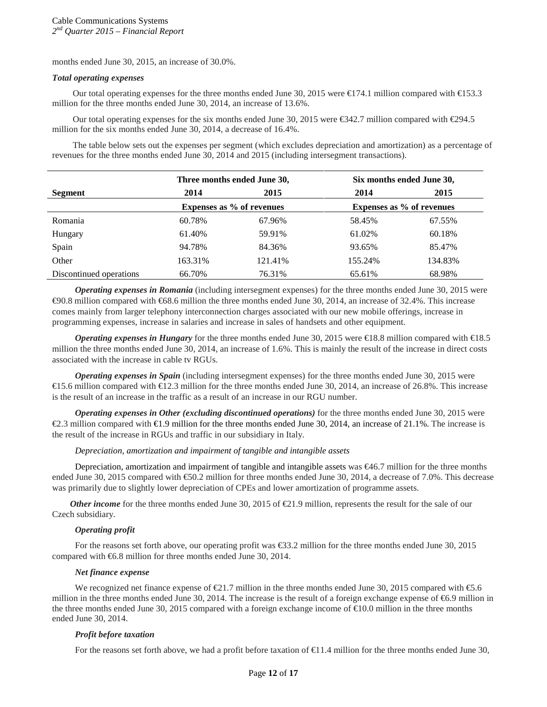months ended June 30, 2015, an increase of 30.0%.

#### *Total operating expenses*

Our total operating expenses for the three months ended June 30, 2015 were €174.1 million compared with €153.3 million for the three months ended June 30, 2014, an increase of 13.6%.

Our total operating expenses for the six months ended June 30, 2015 were €342.7 million compared with €294.5 million for the six months ended June 30, 2014, a decrease of 16.4%.

The table below sets out the expenses per segment (which excludes depreciation and amortization) as a percentage of revenues for the three months ended June 30, 2014 and 2015 (including intersegment transactions).

|                         |         | Three months ended June 30, | Six months ended June 30, |                           |  |
|-------------------------|---------|-----------------------------|---------------------------|---------------------------|--|
| <b>Segment</b>          | 2014    | 2015                        | 2014                      | 2015                      |  |
|                         |         | Expenses as % of revenues   |                           | Expenses as % of revenues |  |
| Romania                 | 60.78%  | 67.96%                      | 58.45%                    | 67.55%                    |  |
| Hungary                 | 61.40%  | 59.91%                      | 61.02%                    | 60.18%                    |  |
| Spain                   | 94.78%  | 84.36%                      | 93.65%                    | 85.47%                    |  |
| Other                   | 163.31% | 121.41%                     | 155.24%                   | 134.83%                   |  |
| Discontinued operations | 66.70%  | 76.31%                      | 65.61%                    | 68.98%                    |  |

*Operating expenses in Romania* (including intersegment expenses) for the three months ended June 30, 2015 were €90.8 million compared with €68.6 million the three months ended June 30, 2014, an increase of 32.4%. This increase comes mainly from larger telephony interconnection charges associated with our new mobile offerings, increase in programming expenses, increase in salaries and increase in sales of handsets and other equipment.

*Operating expenses in Hungary* for the three months ended June 30, 2015 were €18.8 million compared with €18.5 million the three months ended June 30, 2014, an increase of 1.6%. This is mainly the result of the increase in direct costs associated with the increase in cable tv RGUs.

*Operating expenses in Spain* (including intersegment expenses) for the three months ended June 30, 2015 were  $\in$  5.6 million compared with  $\in$  2.3 million for the three months ended June 30, 2014, an increase of 26.8%. This increase is the result of an increase in the traffic as a result of an increase in our RGU number.

*Operating expenses in Other (excluding discontinued operations)* for the three months ended June 30, 2015 were €2.3 million compared with €1.9 million for the three months ended June 30, 2014, an increase of 21.1%. The increase is the result of the increase in RGUs and traffic in our subsidiary in Italy.

#### *Depreciation, amortization and impairment of tangible and intangible assets*

Depreciation, amortization and impairment of tangible and intangible assets was  $\epsilon$ 46.7 million for the three months ended June 30, 2015 compared with €50.2 million for three months ended June 30, 2014, a decrease of 7.0%. This decrease was primarily due to slightly lower depreciation of CPEs and lower amortization of programme assets.

*Other income* for the three months ended June 30, 2015 of  $E$ 1.9 million, represents the result for the sale of our Czech subsidiary.

## *Operating profit*

For the reasons set forth above, our operating profit was €33.2 million for the three months ended June 30, 2015 compared with €6.8 million for three months ended June 30, 2014.

## *Net finance expense*

We recognized net finance expense of €21.7 million in the three months ended June 30, 2015 compared with €5.6 million in the three months ended June 30, 2014. The increase is the result of a foreign exchange expense of €6.9 million in the three months ended June 30, 2015 compared with a foreign exchange income of €10.0 million in the three months ended June 30, 2014.

#### *Profit before taxation*

For the reasons set forth above, we had a profit before taxation of  $\in$ 1.4 million for the three months ended June 30,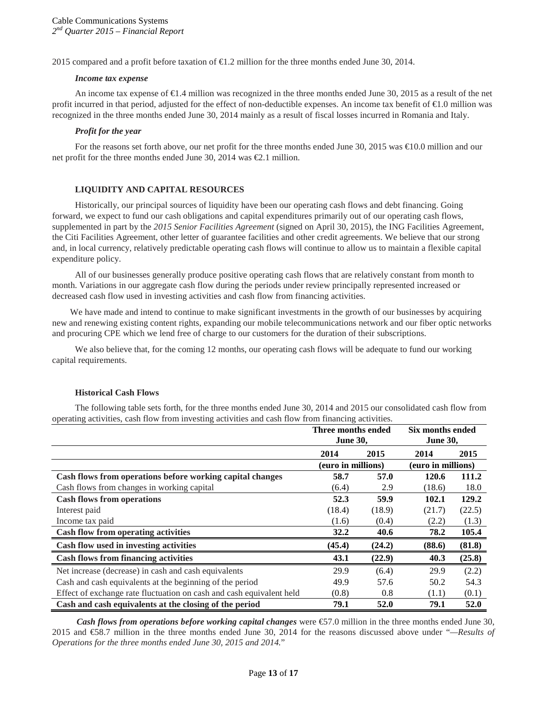2015 compared and a profit before taxation of €1.2 million for the three months ended June 30, 2014.

#### *Income tax expense*

An income tax expense of €1.4 million was recognized in the three months ended June 30, 2015 as a result of the net profit incurred in that period, adjusted for the effect of non-deductible expenses. An income tax benefit of €1.0 million was recognized in the three months ended June 30, 2014 mainly as a result of fiscal losses incurred in Romania and Italy.

#### *Profit for the year*

For the reasons set forth above, our net profit for the three months ended June 30, 2015 was €10.0 million and our net profit for the three months ended June 30, 2014 was  $\epsilon$ 2.1 million.

## **LIQUIDITY AND CAPITAL RESOURCES**

Historically, our principal sources of liquidity have been our operating cash flows and debt financing. Going forward, we expect to fund our cash obligations and capital expenditures primarily out of our operating cash flows, supplemented in part by the *2015 Senior Facilities Agreement* (signed on April 30, 2015), the ING Facilities Agreement, the Citi Facilities Agreement, other letter of guarantee facilities and other credit agreements. We believe that our strong and, in local currency, relatively predictable operating cash flows will continue to allow us to maintain a flexible capital expenditure policy.

All of our businesses generally produce positive operating cash flows that are relatively constant from month to month. Variations in our aggregate cash flow during the periods under review principally represented increased or decreased cash flow used in investing activities and cash flow from financing activities.

We have made and intend to continue to make significant investments in the growth of our businesses by acquiring new and renewing existing content rights, expanding our mobile telecommunications network and our fiber optic networks and procuring CPE which we lend free of charge to our customers for the duration of their subscriptions.

We also believe that, for the coming 12 months, our operating cash flows will be adequate to fund our working capital requirements.

#### **Historical Cash Flows**

The following table sets forth, for the three months ended June 30, 2014 and 2015 our consolidated cash flow from operating activities, cash flow from investing activities and cash flow from financing activities.

|                                                                      |                    | Three months ended<br><b>June 30,</b> |                    | Six months ended<br><b>June 30,</b> |
|----------------------------------------------------------------------|--------------------|---------------------------------------|--------------------|-------------------------------------|
|                                                                      | 2014               | 2015                                  | 2014               | 2015                                |
|                                                                      | (euro in millions) |                                       | (euro in millions) |                                     |
| Cash flows from operations before working capital changes            | 58.7               | 57.0                                  | 120.6              | 111.2                               |
| Cash flows from changes in working capital                           | (6.4)              | 2.9                                   | (18.6)             | 18.0                                |
| <b>Cash flows from operations</b>                                    | 52.3               | 59.9                                  | 102.1              | 129.2                               |
| Interest paid                                                        | (18.4)             | (18.9)                                | (21.7)             | (22.5)                              |
| Income tax paid                                                      | (1.6)              | (0.4)                                 | (2.2)              | (1.3)                               |
| <b>Cash flow from operating activities</b>                           | 32.2               | 40.6                                  | 78.2               | 105.4                               |
| Cash flow used in investing activities                               | (45.4)             | (24.2)                                | (88.6)             | (81.8)                              |
| <b>Cash flows from financing activities</b>                          | 43.1               | (22.9)                                | 40.3               | (25.8)                              |
| Net increase (decrease) in cash and cash equivalents                 | 29.9               | (6.4)                                 | 29.9               | (2.2)                               |
| Cash and cash equivalents at the beginning of the period             | 49.9               | 57.6                                  | 50.2               | 54.3                                |
| Effect of exchange rate fluctuation on cash and cash equivalent held | (0.8)              | 0.8                                   | (1.1)              | (0.1)                               |
| Cash and cash equivalents at the closing of the period               | 79.1               | 52.0                                  | 79.1               | 52.0                                |

*Cash flows from operations before working capital changes* were  $\epsilon$ 57.0 million in the three months ended June 30, 2015 and €58.7 million in the three months ended June 30, 2014 for the reasons discussed above under "*—Results of Operations for the three months ended June 30, 2015 and 2014.*"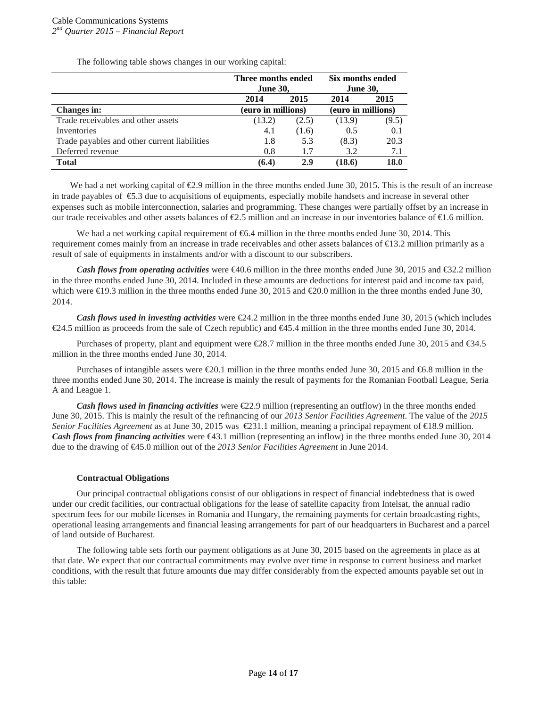The following table shows changes in our working capital:

|                                              | Three months ended<br><b>June 30,</b> |                    | Six months ended<br><b>June 30,</b> |                    |
|----------------------------------------------|---------------------------------------|--------------------|-------------------------------------|--------------------|
|                                              | 2014                                  | 2015               | 2014                                | 2015               |
| <b>Changes in:</b>                           |                                       | (euro in millions) |                                     | (euro in millions) |
| Trade receivables and other assets           | (13.2)                                | (2.5)              | (13.9)                              | (9.5)              |
| Inventories                                  | 4.1                                   | (1.6)              | 0.5                                 | 0.1                |
| Trade payables and other current liabilities | 1.8                                   | 5.3                | (8.3)                               | 20.3               |
| Deferred revenue                             | 0.8                                   | 1.7                | 3.2                                 | 7.1                |
| <b>Total</b>                                 | (6.4)                                 | 2.9                | 18.6)                               | 18.0               |

We had a net working capital of  $\epsilon 2.9$  million in the three months ended June 30, 2015. This is the result of an increase in trade payables of €5.3 due to acquisitions of equipments, especially mobile handsets and increase in several other expenses such as mobile interconnection, salaries and programming. These changes were partially offset by an increase in our trade receivables and other assets balances of  $\epsilon$ 2.5 million and an increase in our inventories balance of  $\epsilon$ 1.6 million.

We had a net working capital requirement of  $66.4$  million in the three months ended June 30, 2014. This requirement comes mainly from an increase in trade receivables and other assets balances of €13.2 million primarily as a result of sale of equipments in instalments and/or with a discount to our subscribers.

*Cash flows from operating activities* were €40.6 million in the three months ended June 30, 2015 and €32.2 million in the three months ended June 30, 2014. Included in these amounts are deductions for interest paid and income tax paid, which were €19.3 million in the three months ended June 30, 2015 and €20.0 million in the three months ended June 30, 2014.

*Cash flows used in investing activities* were €24.2 million in the three months ended June 30, 2015 (which includes €24.5 million as proceeds from the sale of Czech republic) and €45.4 million in the three months ended June 30, 2014.

Purchases of property, plant and equipment were €28.7 million in the three months ended June 30, 2015 and €34.5 million in the three months ended June 30, 2014.

Purchases of intangible assets were  $\epsilon 20.1$  million in the three months ended June 30, 2015 and  $\epsilon 6.8$  million in the three months ended June 30, 2014. The increase is mainly the result of payments for the Romanian Football League, Seria A and League 1.

*Cash flows used in financing activities* were  $\epsilon$ 2.9 million (representing an outflow) in the three months ended June 30, 2015. This is mainly the result of the refinancing of our *2013 Senior Facilities Agreement*. The value of the *2015 Senior Facilities Agreement* as at June 30, 2015 was €231.1 million, meaning a principal repayment of €18.9 million. *Cash flows from financing activities* were €43.1 million (representing an inflow) in the three months ended June 30, 2014 due to the drawing of €45.0 million out of the *2013 Senior Facilities Agreement* in June 2014.

## **Contractual Obligations**

Our principal contractual obligations consist of our obligations in respect of financial indebtedness that is owed under our credit facilities, our contractual obligations for the lease of satellite capacity from Intelsat, the annual radio spectrum fees for our mobile licenses in Romania and Hungary, the remaining payments for certain broadcasting rights, operational leasing arrangements and financial leasing arrangements for part of our headquarters in Bucharest and a parcel of land outside of Bucharest.

The following table sets forth our payment obligations as at June 30, 2015 based on the agreements in place as at that date. We expect that our contractual commitments may evolve over time in response to current business and market conditions, with the result that future amounts due may differ considerably from the expected amounts payable set out in this table: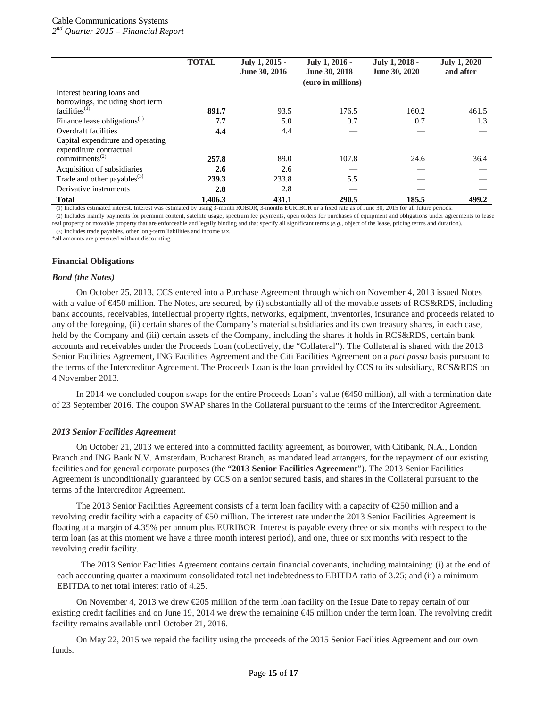## Cable Communications Systems

*2nd Quarter 2015 – Financial Report*

|                                          | <b>TOTAL</b> | July 1, 2015 -<br>June 30, 2016 | July 1, 2016 -<br>June 30, 2018 | July 1, 2018 -<br>June 30, 2020 | <b>July 1, 2020</b><br>and after |
|------------------------------------------|--------------|---------------------------------|---------------------------------|---------------------------------|----------------------------------|
|                                          |              |                                 | (euro in millions)              |                                 |                                  |
| Interest bearing loans and               |              |                                 |                                 |                                 |                                  |
| borrowings, including short term         |              |                                 |                                 |                                 |                                  |
| facilities <sup>(1)</sup>                | 891.7        | 93.5                            | 176.5                           | 160.2                           | 461.5                            |
| Finance lease obligations <sup>(1)</sup> | 7.7          | 5.0                             | 0.7                             | 0.7                             | 1.3                              |
| Overdraft facilities                     | 4.4          | 4.4                             |                                 |                                 |                                  |
| Capital expenditure and operating        |              |                                 |                                 |                                 |                                  |
| expenditure contractual                  |              |                                 |                                 |                                 |                                  |
| commitments <sup><math>(2)</math></sup>  | 257.8        | 89.0                            | 107.8                           | 24.6                            | 36.4                             |
| Acquisition of subsidiaries              | 2.6          | 2.6                             |                                 |                                 |                                  |
| Trade and other payables $^{(3)}$        | 239.3        | 233.8                           | 5.5                             |                                 |                                  |
| Derivative instruments                   | 2.8          | 2.8                             |                                 |                                 |                                  |
| <b>Total</b>                             | 1.406.3      | 431.1                           | 290.5                           | 185.5                           | 499.2                            |

(1) Includes estimated interest. Interest was estimated by using 3-month ROBOR, 3-months EURIBOR or a fixed rate as of June 30, 2015 for all future periods.

(2) Includes mainly payments for premium content, satellite usage, spectrum fee payments, open orders for purchases of equipment and obligations under agreements to lease real property or movable property that are enforceable and legally binding and that specify all significant terms (*e.g.*, object of the lease, pricing terms and duration).

(3) Includes trade payables, other long-term liabilities and income tax.

\*all amounts are presented without discounting

## **Financial Obligations**

## *Bond (the Notes)*

On October 25, 2013, CCS entered into a Purchase Agreement through which on November 4, 2013 issued Notes with a value of €450 million. The Notes, are secured, by (i) substantially all of the movable assets of RCS&RDS, including bank accounts, receivables, intellectual property rights, networks, equipment, inventories, insurance and proceeds related to any of the foregoing, (ii) certain shares of the Company's material subsidiaries and its own treasury shares, in each case, held by the Company and (iii) certain assets of the Company, including the shares it holds in RCS&RDS, certain bank accounts and receivables under the Proceeds Loan (collectively, the "Collateral"). The Collateral is shared with the 2013 Senior Facilities Agreement, ING Facilities Agreement and the Citi Facilities Agreement on a *pari passu* basis pursuant to the terms of the Intercreditor Agreement. The Proceeds Loan is the loan provided by CCS to its subsidiary, RCS&RDS on 4 November 2013.

In 2014 we concluded coupon swaps for the entire Proceeds Loan's value (€450 million), all with a termination date of 23 September 2016. The coupon SWAP shares in the Collateral pursuant to the terms of the Intercreditor Agreement.

## *2013 Senior Facilities Agreement*

On October 21, 2013 we entered into a committed facility agreement, as borrower, with Citibank, N.A., London Branch and ING Bank N.V. Amsterdam, Bucharest Branch, as mandated lead arrangers, for the repayment of our existing facilities and for general corporate purposes (the "**2013 Senior Facilities Agreement**"). The 2013 Senior Facilities Agreement is unconditionally guaranteed by CCS on a senior secured basis, and shares in the Collateral pursuant to the terms of the Intercreditor Agreement.

The 2013 Senior Facilities Agreement consists of a term loan facility with a capacity of  $\epsilon$ 250 million and a revolving credit facility with a capacity of €50 million. The interest rate under the 2013 Senior Facilities Agreement is floating at a margin of 4.35% per annum plus EURIBOR. Interest is payable every three or six months with respect to the term loan (as at this moment we have a three month interest period), and one, three or six months with respect to the revolving credit facility.

The 2013 Senior Facilities Agreement contains certain financial covenants, including maintaining: (i) at the end of each accounting quarter a maximum consolidated total net indebtedness to EBITDA ratio of 3.25; and (ii) a minimum EBITDA to net total interest ratio of 4.25.

On November 4, 2013 we drew  $\epsilon$ 205 million of the term loan facility on the Issue Date to repay certain of our existing credit facilities and on June 19, 2014 we drew the remaining €45 million under the term loan. The revolving credit facility remains available until October 21, 2016.

On May 22, 2015 we repaid the facility using the proceeds of the 2015 Senior Facilities Agreement and our own funds.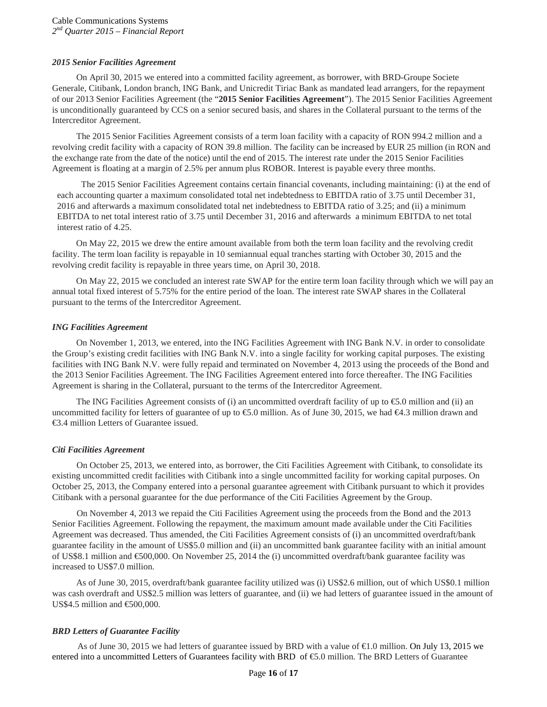## *2015 Senior Facilities Agreement*

On April 30, 2015 we entered into a committed facility agreement, as borrower, with BRD-Groupe Societe Generale, Citibank, London branch, ING Bank, and Unicredit Tiriac Bank as mandated lead arrangers, for the repayment of our 2013 Senior Facilities Agreement (the "**2015 Senior Facilities Agreement**"). The 2015 Senior Facilities Agreement is unconditionally guaranteed by CCS on a senior secured basis, and shares in the Collateral pursuant to the terms of the Intercreditor Agreement.

The 2015 Senior Facilities Agreement consists of a term loan facility with a capacity of RON 994.2 million and a revolving credit facility with a capacity of RON 39.8 million. The facility can be increased by EUR 25 million (in RON and the exchange rate from the date of the notice) until the end of 2015. The interest rate under the 2015 Senior Facilities Agreement is floating at a margin of 2.5% per annum plus ROBOR. Interest is payable every three months.

The 2015 Senior Facilities Agreement contains certain financial covenants, including maintaining: (i) at the end of each accounting quarter a maximum consolidated total net indebtedness to EBITDA ratio of 3.75 until December 31, 2016 and afterwards a maximum consolidated total net indebtedness to EBITDA ratio of 3.25; and (ii) a minimum EBITDA to net total interest ratio of 3.75 until December 31, 2016 and afterwards a minimum EBITDA to net total interest ratio of 4.25.

On May 22, 2015 we drew the entire amount available from both the term loan facility and the revolving credit facility. The term loan facility is repayable in 10 semiannual equal tranches starting with October 30, 2015 and the revolving credit facility is repayable in three years time, on April 30, 2018.

On May 22, 2015 we concluded an interest rate SWAP for the entire term loan facility through which we will pay an annual total fixed interest of 5.75% for the entire period of the loan. The interest rate SWAP shares in the Collateral pursuant to the terms of the Intercreditor Agreement.

## *ING Facilities Agreement*

On November 1, 2013, we entered, into the ING Facilities Agreement with ING Bank N.V. in order to consolidate the Group's existing credit facilities with ING Bank N.V. into a single facility for working capital purposes. The existing facilities with ING Bank N.V. were fully repaid and terminated on November 4, 2013 using the proceeds of the Bond and the 2013 Senior Facilities Agreement. The ING Facilities Agreement entered into force thereafter. The ING Facilities Agreement is sharing in the Collateral, pursuant to the terms of the Intercreditor Agreement.

The ING Facilities Agreement consists of (i) an uncommitted overdraft facility of up to  $\epsilon$ 5.0 million and (ii) an uncommitted facility for letters of guarantee of up to  $\text{\textsterling}5.0$  million. As of June 30, 2015, we had  $\text{\textsterling}4.3$  million drawn and €3.4 million Letters of Guarantee issued.

## *Citi Facilities Agreement*

On October 25, 2013, we entered into, as borrower, the Citi Facilities Agreement with Citibank, to consolidate its existing uncommitted credit facilities with Citibank into a single uncommitted facility for working capital purposes. On October 25, 2013, the Company entered into a personal guarantee agreement with Citibank pursuant to which it provides Citibank with a personal guarantee for the due performance of the Citi Facilities Agreement by the Group.

On November 4, 2013 we repaid the Citi Facilities Agreement using the proceeds from the Bond and the 2013 Senior Facilities Agreement. Following the repayment, the maximum amount made available under the Citi Facilities Agreement was decreased. Thus amended, the Citi Facilities Agreement consists of (i) an uncommitted overdraft/bank guarantee facility in the amount of US\$5.0 million and (ii) an uncommitted bank guarantee facility with an initial amount of US\$8.1 million and €500,000. On November 25, 2014 the (i) uncommitted overdraft/bank guarantee facility was increased to US\$7.0 million.

As of June 30, 2015, overdraft/bank guarantee facility utilized was (i) US\$2.6 million, out of which US\$0.1 million was cash overdraft and US\$2.5 million was letters of guarantee, and (ii) we had letters of guarantee issued in the amount of US\$4.5 million and €500,000.

## *BRD Letters of Guarantee Facility*

As of June 30, 2015 we had letters of guarantee issued by BRD with a value of €1.0 million. On July 13, 2015 we entered into a uncommitted Letters of Guarantees facility with BRD of €5.0 million. The BRD Letters of Guarantee